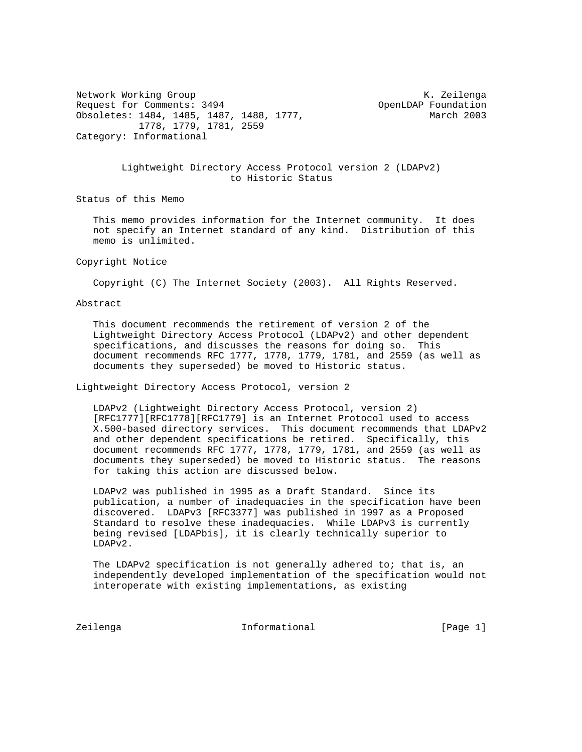Network Working Group Network Channels and Metwork Channels and Metwork Channels and Metal Annual Channels and Request for Comments: 3494 OpenLDAP Foundation Obsoletes: 1484, 1485, 1487, 1488, 1777, March 2003 1778, 1779, 1781, 2559 Category: Informational

# Lightweight Directory Access Protocol version 2 (LDAPv2) to Historic Status

Status of this Memo

 This memo provides information for the Internet community. It does not specify an Internet standard of any kind. Distribution of this memo is unlimited.

#### Copyright Notice

Copyright (C) The Internet Society (2003). All Rights Reserved.

Abstract

 This document recommends the retirement of version 2 of the Lightweight Directory Access Protocol (LDAPv2) and other dependent specifications, and discusses the reasons for doing so. This document recommends RFC 1777, 1778, 1779, 1781, and 2559 (as well as documents they superseded) be moved to Historic status.

Lightweight Directory Access Protocol, version 2

 LDAPv2 (Lightweight Directory Access Protocol, version 2) [RFC1777][RFC1778][RFC1779] is an Internet Protocol used to access X.500-based directory services. This document recommends that LDAPv2 and other dependent specifications be retired. Specifically, this document recommends RFC 1777, 1778, 1779, 1781, and 2559 (as well as documents they superseded) be moved to Historic status. The reasons for taking this action are discussed below.

 LDAPv2 was published in 1995 as a Draft Standard. Since its publication, a number of inadequacies in the specification have been discovered. LDAPv3 [RFC3377] was published in 1997 as a Proposed Standard to resolve these inadequacies. While LDAPv3 is currently being revised [LDAPbis], it is clearly technically superior to LDAPv2.

 The LDAPv2 specification is not generally adhered to; that is, an independently developed implementation of the specification would not interoperate with existing implementations, as existing

Zeilenga **Informational** Informational [Page 1]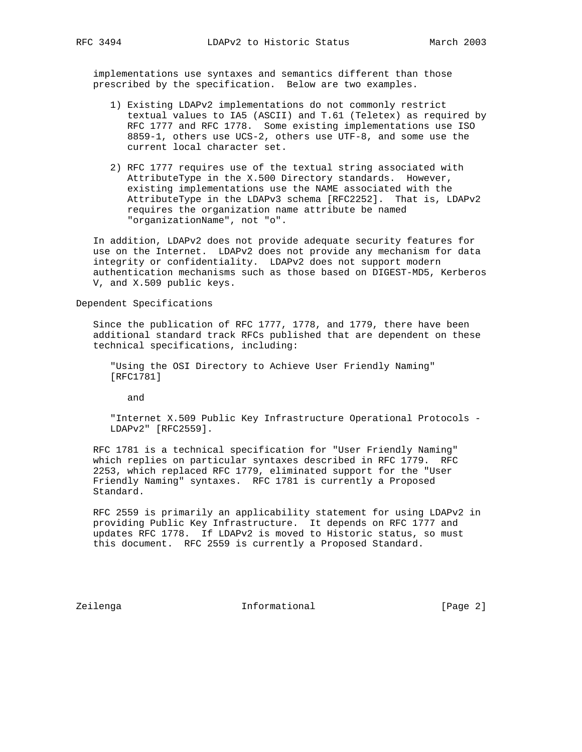implementations use syntaxes and semantics different than those prescribed by the specification. Below are two examples.

- 1) Existing LDAPv2 implementations do not commonly restrict textual values to IA5 (ASCII) and T.61 (Teletex) as required by RFC 1777 and RFC 1778. Some existing implementations use ISO 8859-1, others use UCS-2, others use UTF-8, and some use the current local character set.
- 2) RFC 1777 requires use of the textual string associated with AttributeType in the X.500 Directory standards. However, existing implementations use the NAME associated with the AttributeType in the LDAPv3 schema [RFC2252]. That is, LDAPv2 requires the organization name attribute be named "organizationName", not "o".

 In addition, LDAPv2 does not provide adequate security features for use on the Internet. LDAPv2 does not provide any mechanism for data integrity or confidentiality. LDAPv2 does not support modern authentication mechanisms such as those based on DIGEST-MD5, Kerberos V, and X.509 public keys.

Dependent Specifications

 Since the publication of RFC 1777, 1778, and 1779, there have been additional standard track RFCs published that are dependent on these technical specifications, including:

 "Using the OSI Directory to Achieve User Friendly Naming" [RFC1781]

and

 "Internet X.509 Public Key Infrastructure Operational Protocols - LDAPv2" [RFC2559].

 RFC 1781 is a technical specification for "User Friendly Naming" which replies on particular syntaxes described in RFC 1779. RFC 2253, which replaced RFC 1779, eliminated support for the "User Friendly Naming" syntaxes. RFC 1781 is currently a Proposed Standard.

 RFC 2559 is primarily an applicability statement for using LDAPv2 in providing Public Key Infrastructure. It depends on RFC 1777 and updates RFC 1778. If LDAPv2 is moved to Historic status, so must this document. RFC 2559 is currently a Proposed Standard.

Zeilenga **Informational** Informational [Page 2]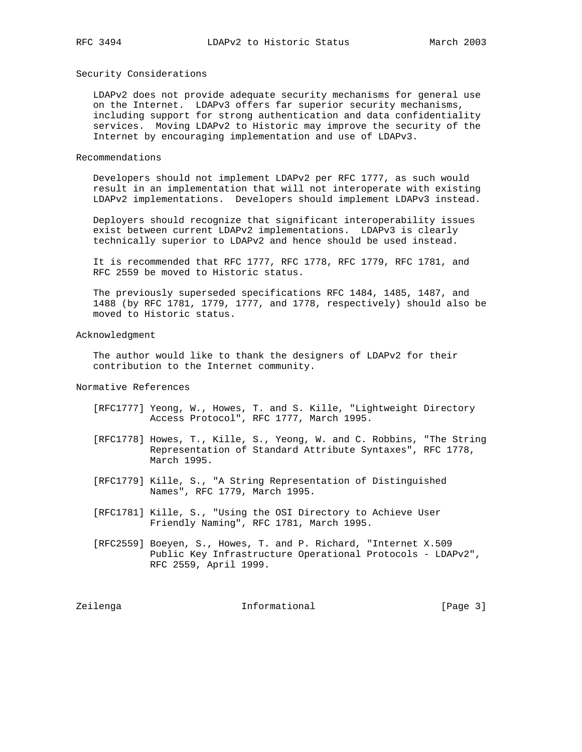### Security Considerations

 LDAPv2 does not provide adequate security mechanisms for general use on the Internet. LDAPv3 offers far superior security mechanisms, including support for strong authentication and data confidentiality services. Moving LDAPv2 to Historic may improve the security of the Internet by encouraging implementation and use of LDAPv3.

#### Recommendations

 Developers should not implement LDAPv2 per RFC 1777, as such would result in an implementation that will not interoperate with existing LDAPv2 implementations. Developers should implement LDAPv3 instead.

 Deployers should recognize that significant interoperability issues exist between current LDAPv2 implementations. LDAPv3 is clearly technically superior to LDAPv2 and hence should be used instead.

 It is recommended that RFC 1777, RFC 1778, RFC 1779, RFC 1781, and RFC 2559 be moved to Historic status.

 The previously superseded specifications RFC 1484, 1485, 1487, and 1488 (by RFC 1781, 1779, 1777, and 1778, respectively) should also be moved to Historic status.

#### Acknowledgment

 The author would like to thank the designers of LDAPv2 for their contribution to the Internet community.

## Normative References

- [RFC1777] Yeong, W., Howes, T. and S. Kille, "Lightweight Directory Access Protocol", RFC 1777, March 1995.
- [RFC1778] Howes, T., Kille, S., Yeong, W. and C. Robbins, "The String Representation of Standard Attribute Syntaxes", RFC 1778, March 1995.
- [RFC1779] Kille, S., "A String Representation of Distinguished Names", RFC 1779, March 1995.
- [RFC1781] Kille, S., "Using the OSI Directory to Achieve User Friendly Naming", RFC 1781, March 1995.
- [RFC2559] Boeyen, S., Howes, T. and P. Richard, "Internet X.509 Public Key Infrastructure Operational Protocols - LDAPv2", RFC 2559, April 1999.

Zeilenga **Informational** Informational [Page 3]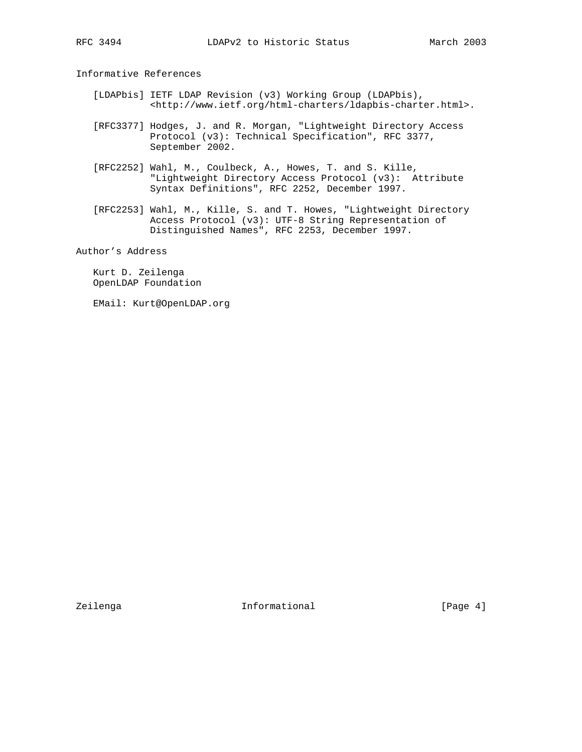Informative References

- [LDAPbis] IETF LDAP Revision (v3) Working Group (LDAPbis), <http://www.ietf.org/html-charters/ldapbis-charter.html>.
- [RFC3377] Hodges, J. and R. Morgan, "Lightweight Directory Access Protocol (v3): Technical Specification", RFC 3377, September 2002.
- [RFC2252] Wahl, M., Coulbeck, A., Howes, T. and S. Kille, "Lightweight Directory Access Protocol (v3): Attribute Syntax Definitions", RFC 2252, December 1997.
- [RFC2253] Wahl, M., Kille, S. and T. Howes, "Lightweight Directory Access Protocol (v3): UTF-8 String Representation of Distinguished Names", RFC 2253, December 1997.

Author's Address

 Kurt D. Zeilenga OpenLDAP Foundation

EMail: Kurt@OpenLDAP.org

Zeilenga **Informational** Informational [Page 4]